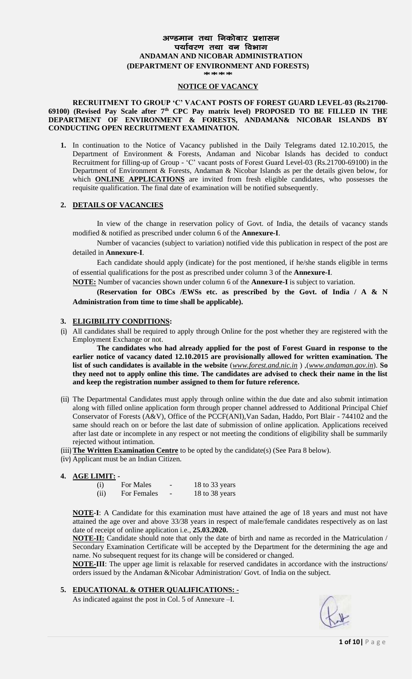# अण्डमान तथा निकोबार प्रशासन पर्यावरण तथा वन विभाग **ANDAMAN AND NICOBAR ADMINISTRATION (DEPARTMENT OF ENVIRONMENT AND FORESTS)**

**\*\*\*\***

#### **NOTICE OF VACANCY**

#### **RECRUITMENT TO GROUP 'C' VACANT POSTS OF FOREST GUARD LEVEL-03 (Rs.21700- 69100) (Revised Pay Scale after 7th CPC Pay matrix level) PROPOSED TO BE FILLED IN THE DEPARTMENT OF ENVIRONMENT & FORESTS, ANDAMAN& NICOBAR ISLANDS BY CONDUCTING OPEN RECRUITMENT EXAMINATION.**

**1.** In continuation to the Notice of Vacancy published in the Daily Telegrams dated 12.10.2015, the Department of Environment & Forests, Andaman and Nicobar Islands has decided to conduct Recruitment for filling-up of Group - 'C' vacant posts of Forest Guard Level-03 (Rs.21700-69100) in the Department of Environment & Forests, Andaman & Nicobar Islands as per the details given below, for which **ONLINE APPLICATIONS** are invited from fresh eligible candidates, who possesses the requisite qualification. The final date of examination will be notified subsequently.

#### **2. DETAILS OF VACANCIES**

In view of the change in reservation policy of Govt. of India, the details of vacancy stands modified & notified as prescribed under column 6 of the **Annexure-I**.

Number of vacancies (subject to variation) notified vide this publication in respect of the post are detailed in **Annexure-I**.

Each candidate should apply (indicate) for the post mentioned, if he/she stands eligible in terms of essential qualifications for the post as prescribed under column 3 of the **Annexure-I**.

**NOTE:** Number of vacancies shown under column 6 of the **Annexure-I** is subject to variation.

**(Reservation for OBCs /EWSs etc. as prescribed by the Govt. of India / A & N Administration from time to time shall be applicable).** 

#### **3. ELIGIBILITY CONDITIONS:**

(i) All candidates shall be required to apply through Online for the post whether they are registered with the Employment Exchange or not.

**The candidates who had already applied for the post of Forest Guard in response to the earlier notice of vacancy dated 12.10.2015 are provisionally allowed for written examination. The list of such candidates is available in the website** (*[www.forest.and.nic.in](http://www.forest.and.nic.in/)* ) ,(*[www.andaman.gov.in](http://www.andaman.gov.in/)*). **So they need not to apply online this time. The candidates are advised to check their name in the list and keep the registration number assigned to them for future reference.**

- (ii) The Departmental Candidates must apply through online within the due date and also submit intimation along with filled online application form through proper channel addressed to Additional Principal Chief Conservator of Forests (A&V), Office of the PCCF(ANI),Van Sadan, Haddo, Port Blair - 744102 and the same should reach on or before the last date of submission of online application. Applications received after last date or incomplete in any respect or not meeting the conditions of eligibility shall be summarily rejected without intimation.
- (iii)**The Written Examination Centre** to be opted by the candidate(s) (See Para 8 below).
- (iv) Applicant must be an Indian Citizen.

#### **4. AGE LIMIT: -**

| (i)  | For Males   | 18 to 33 years |
|------|-------------|----------------|
| (ii) | For Females | 18 to 38 years |

**NOTE-I**: A Candidate for this examination must have attained the age of 18 years and must not have attained the age over and above 33/38 years in respect of male/female candidates respectively as on last date of receipt of online application i.e., **25.03.2020.**

**NOTE-II:** Candidate should note that only the date of birth and name as recorded in the Matriculation / Secondary Examination Certificate will be accepted by the Department for the determining the age and name. No subsequent request for its change will be considered or changed.

**NOTE-III**: The upper age limit is relaxable for reserved candidates in accordance with the instructions/ orders issued by the Andaman &Nicobar Administration/ Govt. of India on the subject.

### **5. EDUCATIONAL & OTHER QUALIFICATIONS: -**

As indicated against the post in Col. 5 of Annexure –I.

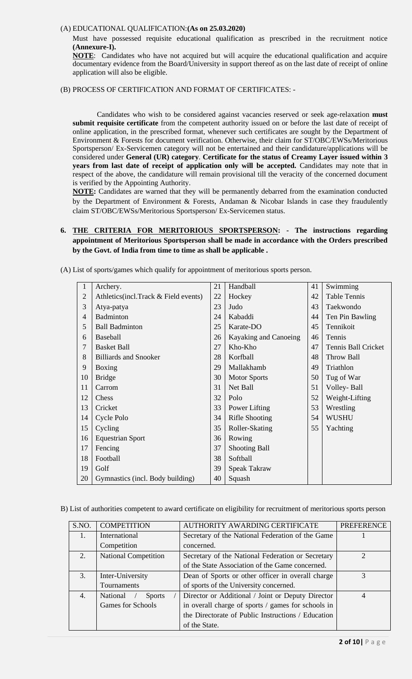#### (A) EDUCATIONAL QUALIFICATION:**(As on 25.03.2020)**

Must have possessed requisite educational qualification as prescribed in the recruitment notice **(Annexure-I).**

**NOTE**: Candidates who have not acquired but will acquire the educational qualification and acquire documentary evidence from the Board/University in support thereof as on the last date of receipt of online application will also be eligible.

(B) PROCESS OF CERTIFICATION AND FORMAT OF CERTIFICATES: -

Candidates who wish to be considered against vacancies reserved or seek age-relaxation **must submit requisite certificate** from the competent authority issued on or before the last date of receipt of online application, in the prescribed format, whenever such certificates are sought by the Department of Environment & Forests for document verification. Otherwise, their claim for ST/OBC/EWSs/Meritorious Sportsperson/ Ex-Servicemen category will not be entertained and their candidature/applications will be considered under **General (UR) category**. **Certificate for the status of Creamy Layer issued within 3 years from last date of receipt of application only will be accepted.** Candidates may note that in respect of the above, the candidature will remain provisional till the veracity of the concerned document is verified by the Appointing Authority.

**NOTE:** Candidates are warned that they will be permanently debarred from the examination conducted by the Department of Environment & Forests, Andaman & Nicobar Islands in case they fraudulently claim ST/OBC/EWSs/Meritorious Sportsperson/ Ex-Servicemen status.

# **6. THE CRITERIA FOR MERITORIOUS SPORTSPERSON: - The instructions regarding appointment of Meritorious Sportsperson shall be made in accordance with the Orders prescribed by the Govt. of India from time to time as shall be applicable .**

| $\mathbf{1}$   | Archery.                             | 21 | Handball              | 41 | Swimming            |
|----------------|--------------------------------------|----|-----------------------|----|---------------------|
| $\overline{2}$ | Athletics(incl.Track & Field events) | 22 | Hockey                | 42 | <b>Table Tennis</b> |
| 3              | Atya-patya                           | 23 | Judo                  | 43 | Taekwondo           |
| $\overline{4}$ | <b>Badminton</b>                     | 24 | Kabaddi               | 44 | Ten Pin Bawling     |
| 5              | <b>Ball Badminton</b>                | 25 | Karate-DO             | 45 | Tennikoit           |
| 6              | Baseball                             | 26 | Kayaking and Canoeing | 46 | Tennis              |
| 7              | <b>Basket Ball</b>                   | 27 | Kho-Kho               | 47 | Tennis Ball Cricket |
| 8              | <b>Billiards and Snooker</b>         | 28 | Korfball              | 48 | <b>Throw Ball</b>   |
| 9              | Boxing                               | 29 | Mallakhamb            | 49 | Triathlon           |
| 10             | <b>Bridge</b>                        | 30 | <b>Motor Sports</b>   | 50 | Tug of War          |
| 11             | Carrom                               | 31 | Net Ball              | 51 | Volley-Ball         |
| 12             | Chess                                | 32 | Polo                  | 52 | Weight-Lifting      |
| 13             | Cricket                              | 33 | Power Lifting         | 53 | Wrestling           |
| 14             | Cycle Polo                           | 34 | <b>Rifle Shooting</b> | 54 | <b>WUSHU</b>        |
| 15             | Cycling                              | 35 | Roller-Skating        | 55 | Yachting            |
| 16             | <b>Equestrian Sport</b>              | 36 | Rowing                |    |                     |
| 17             | Fencing                              | 37 | <b>Shooting Ball</b>  |    |                     |
| 18             | Football                             | 38 | Softball              |    |                     |
| 19             | Golf                                 | 39 | <b>Speak Takraw</b>   |    |                     |
| 20             | Gymnastics (incl. Body building)     | 40 | Squash                |    |                     |

(A) List of sports/games which qualify for appointment of meritorious sports person.

B) List of authorities competent to award certificate on eligibility for recruitment of meritorious sports person

| S.NO. | <b>COMPETITION</b>          | AUTHORITY AWARDING CERTIFICATE                     | <b>PREFERENCE</b> |
|-------|-----------------------------|----------------------------------------------------|-------------------|
| 1.    | International               | Secretary of the National Federation of the Game   |                   |
|       | Competition                 | concerned.                                         |                   |
| 2.    | <b>National Competition</b> | Secretary of the National Federation or Secretary  | $\mathfrak{D}$    |
|       |                             | of the State Association of the Game concerned.    |                   |
| 3.    | Inter-University            | Dean of Sports or other officer in overall charge  | 3                 |
|       | <b>Tournaments</b>          | of sports of the University concerned.             |                   |
| 4.    | National<br><b>Sports</b>   | Director or Additional / Joint or Deputy Director  | 4                 |
|       | <b>Games for Schools</b>    | in overall charge of sports / games for schools in |                   |
|       |                             | the Directorate of Public Instructions / Education |                   |
|       |                             | of the State.                                      |                   |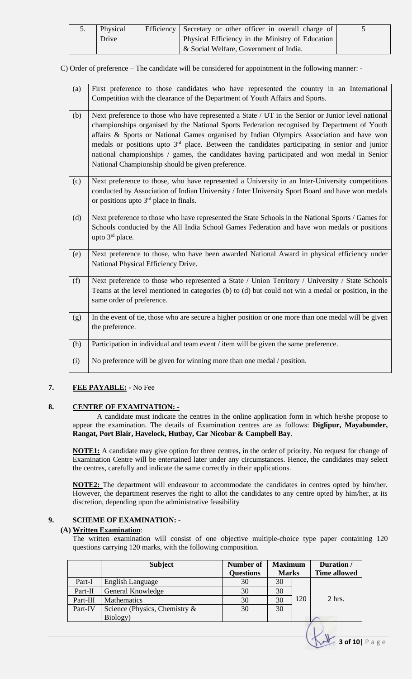| 5. | Physical | Efficiency Secretary or other officer in overall charge of |  |
|----|----------|------------------------------------------------------------|--|
|    | Drive    | Physical Efficiency in the Ministry of Education           |  |
|    |          | & Social Welfare, Government of India.                     |  |

C) Order of preference – The candidate will be considered for appointment in the following manner: -

| (a) | First preference to those candidates who have represented the country in an International                 |
|-----|-----------------------------------------------------------------------------------------------------------|
|     | Competition with the clearance of the Department of Youth Affairs and Sports.                             |
|     |                                                                                                           |
| (b) | Next preference to those who have represented a State / UT in the Senior or Junior level national         |
|     | championships organised by the National Sports Federation recognised by Department of Youth               |
|     | affairs & Sports or National Games organised by Indian Olympics Association and have won                  |
|     | medals or positions upto 3 <sup>rd</sup> place. Between the candidates participating in senior and junior |
|     | national championships / games, the candidates having participated and won medal in Senior                |
|     | National Championship should be given preference.                                                         |
|     |                                                                                                           |
| (c) | Next preference to those, who have represented a University in an Inter-University competitions           |
|     | conducted by Association of Indian University / Inter University Sport Board and have won medals          |
|     | or positions upto $3rd$ place in finals.                                                                  |
|     |                                                                                                           |
| (d) | Next preference to those who have represented the State Schools in the National Sports / Games for        |
|     | Schools conducted by the All India School Games Federation and have won medals or positions               |
|     | upto $3rd$ place.                                                                                         |
|     |                                                                                                           |
| (e) | Next preference to those, who have been awarded National Award in physical efficiency under               |
|     | National Physical Efficiency Drive.                                                                       |
|     |                                                                                                           |
| (f) | Next preference to those who represented a State / Union Territory / University / State Schools           |
|     | Teams at the level mentioned in categories (b) to (d) but could not win a medal or position, in the       |
|     | same order of preference.                                                                                 |
|     |                                                                                                           |
| (g) | In the event of tie, those who are secure a higher position or one more than one medal will be given      |
|     | the preference.                                                                                           |
|     |                                                                                                           |
| (h) | Participation in individual and team event / item will be given the same preference.                      |
|     |                                                                                                           |
| (i) | No preference will be given for winning more than one medal / position.                                   |
|     |                                                                                                           |

## **7. FEE PAYABLE: -** No Fee

### **8. CENTRE OF EXAMINATION: -**

A candidate must indicate the centres in the online application form in which he/she propose to appear the examination. The details of Examination centres are as follows: **Diglipur, Mayabunder, Rangat, Port Blair, Havelock, Hutbay, Car Nicobar & Campbell Bay**.

**NOTE1:** A candidate may give option for three centres, in the order of priority. No request for change of Examination Centre will be entertained later under any circumstances. Hence, the candidates may select the centres, carefully and indicate the same correctly in their applications.

**NOTE2:** The department will endeavour to accommodate the candidates in centres opted by him/her. However, the department reserves the right to allot the candidates to any centre opted by him/her, at its discretion, depending upon the administrative feasibility

## **9. SCHEME OF EXAMINATION: -**

### **(A) Written Examination**:

The written examination will consist of one objective multiple-choice type paper containing 120 questions carrying 120 marks, with the following composition.

|          | <b>Subject</b>                   | <b>Number of</b><br><b>Questions</b> | <b>Maximum</b><br><b>Marks</b> |     | Duration/<br><b>Time allowed</b> |  |
|----------|----------------------------------|--------------------------------------|--------------------------------|-----|----------------------------------|--|
| Part-I   | English Language                 | 30                                   | 30                             |     |                                  |  |
| Part-II  | General Knowledge                | 30                                   | 30                             |     |                                  |  |
| Part-III | Mathematics                      | 30                                   | 30                             | 120 | $2$ hrs.                         |  |
| Part-IV  | Science (Physics, Chemistry $\&$ | 30                                   | 30                             |     |                                  |  |
|          | Biology)                         |                                      |                                |     |                                  |  |
|          |                                  |                                      |                                |     |                                  |  |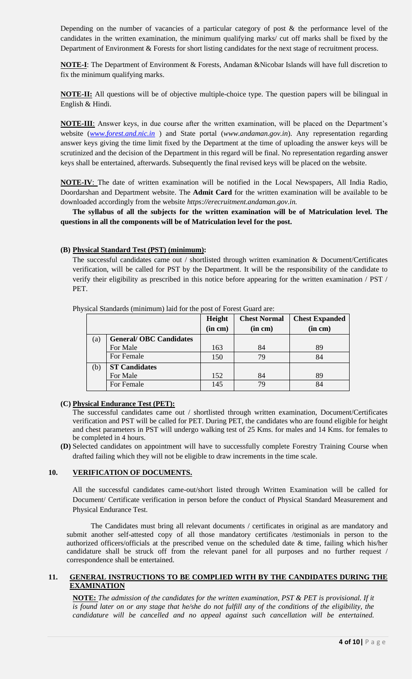Depending on the number of vacancies of a particular category of post & the performance level of the candidates in the written examination, the minimum qualifying marks/ cut off marks shall be fixed by the Department of Environment & Forests for short listing candidates for the next stage of recruitment process.

**NOTE-I**: The Department of Environment & Forests, Andaman &Nicobar Islands will have full discretion to fix the minimum qualifying marks.

**NOTE-II:** All questions will be of objective multiple-choice type. The question papers will be bilingual in English & Hindi.

**NOTE-III**: Answer keys, in due course after the written examination, will be placed on the Department's website (*[www.forest.and.nic.in](http://www.forest.and.nic.in/)* ) and State portal (*www.andaman.gov.in*). Any representation regarding answer keys giving the time limit fixed by the Department at the time of uploading the answer keys will be scrutinized and the decision of the Department in this regard will be final. No representation regarding answer keys shall be entertained, afterwards. Subsequently the final revised keys will be placed on the website.

**NOTE-IV**: The date of written examination will be notified in the Local Newspapers, All India Radio, Doordarshan and Department website. The **Admit Card** for the written examination will be available to be downloaded accordingly from the website *https://erecruitment.andaman.gov.in.*

**The syllabus of all the subjects for the written examination will be of Matriculation level. The questions in all the components will be of Matriculation level for the post.** 

### **(B) Physical Standard Test (PST) (minimum):**

The successful candidates came out / shortlisted through written examination & Document/Certificates verification, will be called for PST by the Department. It will be the responsibility of the candidate to verify their eligibility as prescribed in this notice before appearing for the written examination / PST / PET.

|     |                               | Height  | <b>Chest Normal</b> | <b>Chest Expanded</b> |  |
|-----|-------------------------------|---------|---------------------|-----------------------|--|
|     |                               | (in cm) | (in cm)             | (in cm)               |  |
| (a) | <b>General/OBC Candidates</b> |         |                     |                       |  |
|     | For Male                      | 163     | 84                  | 89                    |  |
|     | For Female                    | 150     | 79                  | 84                    |  |
| (b) | <b>ST Candidates</b>          |         |                     |                       |  |
|     | For Male                      | 152     | 84                  | 89                    |  |
|     | For Female                    | 145     | 79                  | 84                    |  |

Physical Standards (minimum) laid for the post of Forest Guard are:

# **(C) Physical Endurance Test (PET):**

The successful candidates came out / shortlisted through written examination, Document/Certificates verification and PST will be called for PET. During PET, the candidates who are found eligible for height and chest parameters in PST will undergo walking test of 25 Kms. for males and 14 Kms. for females to be completed in 4 hours.

**(D)** Selected candidates on appointment will have to successfully complete Forestry Training Course when drafted failing which they will not be eligible to draw increments in the time scale.

### **10. VERIFICATION OF DOCUMENTS.**

All the successful candidates came-out/short listed through Written Examination will be called for Document/ Certificate verification in person before the conduct of Physical Standard Measurement and Physical Endurance Test.

The Candidates must bring all relevant documents / certificates in original as are mandatory and submit another self-attested copy of all those mandatory certificates /testimonials in person to the authorized officers/officials at the prescribed venue on the scheduled date & time, failing which his/her candidature shall be struck off from the relevant panel for all purposes and no further request / correspondence shall be entertained.

### **11. GENERAL INSTRUCTIONS TO BE COMPLIED WITH BY THE CANDIDATES DURING THE EXAMINATION**

**NOTE:** *The admission of the candidates for the written examination, PST & PET is provisional. If it is found later on or any stage that he/she do not fulfill any of the conditions of the eligibility, the candidature will be cancelled and no appeal against such cancellation will be entertained.*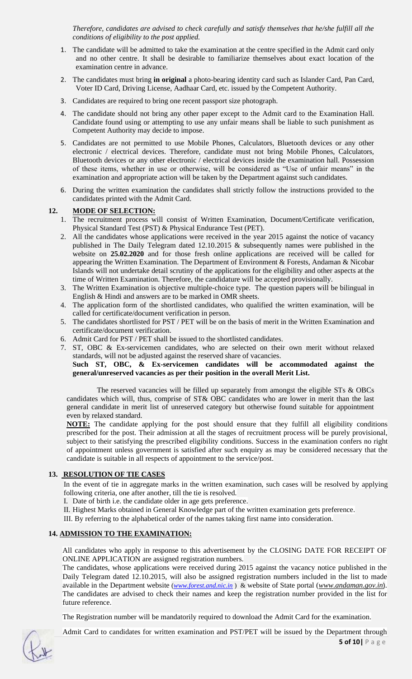*Therefore, candidates are advised to check carefully and satisfy themselves that he/she fulfill all the conditions of eligibility to the post applied.*

- 1. The candidate will be admitted to take the examination at the centre specified in the Admit card only and no other centre. It shall be desirable to familiarize themselves about exact location of the examination centre in advance.
- 2. The candidates must bring **in original** a photo-bearing identity card such as Islander Card, Pan Card, Voter ID Card, Driving License, Aadhaar Card, etc. issued by the Competent Authority.
- 3. Candidates are required to bring one recent passport size photograph.
- 4. The candidate should not bring any other paper except to the Admit card to the Examination Hall. Candidate found using or attempting to use any unfair means shall be liable to such punishment as Competent Authority may decide to impose.
- 5. Candidates are not permitted to use Mobile Phones, Calculators, Bluetooth devices or any other electronic / electrical devices. Therefore, candidate must not bring Mobile Phones, Calculators, Bluetooth devices or any other electronic / electrical devices inside the examination hall. Possession of these items, whether in use or otherwise, will be considered as "Use of unfair means" in the examination and appropriate action will be taken by the Department against such candidates.
- 6. During the written examination the candidates shall strictly follow the instructions provided to the candidates printed with the Admit Card.

### **12. MODE OF SELECTION:**

- 1. The recruitment process will consist of Written Examination, Document/Certificate verification, Physical Standard Test (PST) & Physical Endurance Test (PET).
- 2. All the candidates whose applications were received in the year 2015 against the notice of vacancy published in The Daily Telegram dated 12.10.2015 & subsequently names were published in the website on **25.02.2020** and for those fresh online applications are received will be called for appearing the Written Examination. The Department of Environment & Forests, Andaman & Nicobar Islands will not undertake detail scrutiny of the applications for the eligibility and other aspects at the time of Written Examination. Therefore, the candidature will be accepted provisionally.
- 3. The Written Examination is objective multiple-choice type. The question papers will be bilingual in English & Hindi and answers are to be marked in OMR sheets.
- 4. The application form of the shortlisted candidates, who qualified the written examination, will be called for certificate/document verification in person.
- 5. The candidates shortlisted for PST / PET will be on the basis of merit in the Written Examination and certificate/document verification.
- 6. Admit Card for PST / PET shall be issued to the shortlisted candidates.
- 7. ST, OBC & Ex-servicemen candidates, who are selected on their own merit without relaxed standards, will not be adjusted against the reserved share of vacancies.

**Such ST, OBC, & Ex-servicemen candidates will be accommodated against the general/unreserved vacancies as per their position in the overall Merit List.**

The reserved vacancies will be filled up separately from amongst the eligible STs & OBCs candidates which will, thus, comprise of ST& OBC candidates who are lower in merit than the last general candidate in merit list of unreserved category but otherwise found suitable for appointment even by relaxed standard.

**NOTE:** The candidate applying for the post should ensure that they fulfill all eligibility conditions prescribed for the post. Their admission at all the stages of recruitment process will be purely provisional, subject to their satisfying the prescribed eligibility conditions. Success in the examination confers no right of appointment unless government is satisfied after such enquiry as may be considered necessary that the candidate is suitable in all respects of appointment to the service/post.

### **13. RESOLUTION OF TIE CASES**

In the event of tie in aggregate marks in the written examination, such cases will be resolved by applying following criteria, one after another, till the tie is resolved.

I. Date of birth i.e. the candidate older in age gets preference.

- II. Highest Marks obtained in General Knowledge part of the written examination gets preference.
- III. By referring to the alphabetical order of the names taking first name into consideration.

## **14. ADMISSION TO THE EXAMINATION:**

All candidates who apply in response to this advertisement by the CLOSING DATE FOR RECEIPT OF ONLINE APPLICATION are assigned registration numbers.

The candidates, whose applications were received during 2015 against the vacancy notice published in the Daily Telegram dated 12.10.2015, will also be assigned registration numbers included in the list to made available in the Department website (*[www.forest.and.nic.in](http://www.forest.and.nic.in/)* ) & website of State portal (*[www.andaman.gov.in](http://www.andaman.gov.in/)*). The candidates are advised to check their names and keep the registration number provided in the list for future reference.

The Registration number will be mandatorily required to download the Admit Card for the examination.



Admit Card to candidates for written examination and PST/PET will be issued by the Department through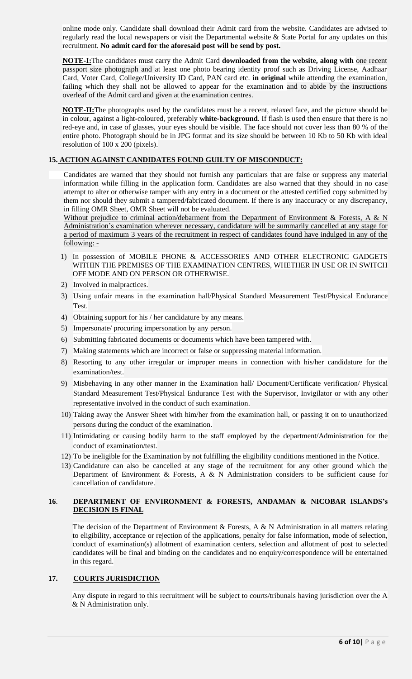online mode only. Candidate shall download their Admit card from the website. Candidates are advised to regularly read the local newspapers or visit the Departmental website & State Portal for any updates on this recruitment. **No admit card for the aforesaid post will be send by post.**

**NOTE-I:**The candidates must carry the Admit Card **downloaded from the website, along with** one recent passport size photograph and at least one photo bearing identity proof such as Driving License, Aadhaar Card, Voter Card, College/University ID Card, PAN card etc. **in original** while attending the examination, failing which they shall not be allowed to appear for the examination and to abide by the instructions overleaf of the Admit card and given at the examination centres.

**NOTE-II:**The photographs used by the candidates must be a recent, relaxed face, and the picture should be in colour, against a light-coloured, preferably **white-background**. If flash is used then ensure that there is no red-eye and, in case of glasses, your eyes should be visible. The face should not cover less than 80 % of the entire photo. Photograph should be in JPG format and its size should be between 10 Kb to 50 Kb with ideal resolution of 100 x 200 (pixels).

# **15. ACTION AGAINST CANDIDATES FOUND GUILTY OF MISCONDUCT:**

Candidates are warned that they should not furnish any particulars that are false or suppress any material information while filling in the application form. Candidates are also warned that they should in no case attempt to alter or otherwise tamper with any entry in a document or the attested certified copy submitted by them nor should they submit a tampered/fabricated document. If there is any inaccuracy or any discrepancy, in filling OMR Sheet, OMR Sheet will not be evaluated.

Without prejudice to criminal action/debarment from the Department of Environment & Forests, A & N Administration's examination wherever necessary, candidature will be summarily cancelled at any stage for a period of maximum 3 years of the recruitment in respect of candidates found have indulged in any of the following: -

- 1) In possession of MOBILE PHONE & ACCESSORIES AND OTHER ELECTRONIC GADGETS WITHIN THE PREMISES OF THE EXAMINATION CENTRES, WHETHER IN USE OR IN SWITCH OFF MODE AND ON PERSON OR OTHERWISE.
- 2) Involved in malpractices.
- 3) Using unfair means in the examination hall/Physical Standard Measurement Test/Physical Endurance Test.
- 4) Obtaining support for his / her candidature by any means.
- 5) Impersonate/ procuring impersonation by any person.
- 6) Submitting fabricated documents or documents which have been tampered with.
- 7) Making statements which are incorrect or false or suppressing material information.
- 8) Resorting to any other irregular or improper means in connection with his/her candidature for the examination/test.
- 9) Misbehaving in any other manner in the Examination hall/ Document/Certificate verification/ Physical Standard Measurement Test/Physical Endurance Test with the Supervisor, Invigilator or with any other representative involved in the conduct of such examination.
- 10) Taking away the Answer Sheet with him/her from the examination hall, or passing it on to unauthorized persons during the conduct of the examination.
- 11) Intimidating or causing bodily harm to the staff employed by the department/Administration for the conduct of examination/test.
- 12) To be ineligible for the Examination by not fulfilling the eligibility conditions mentioned in the Notice.
- 13) Candidature can also be cancelled at any stage of the recruitment for any other ground which the Department of Environment & Forests, A & N Administration considers to be sufficient cause for cancellation of candidature.

# **16**. **DEPARTMENT OF ENVIRONMENT & FORESTS, ANDAMAN & NICOBAR ISLANDS's DECISION IS FINAL**

The decision of the Department of Environment & Forests, A & N Administration in all matters relating to eligibility, acceptance or rejection of the applications, penalty for false information, mode of selection, conduct of examination(s) allotment of examination centers, selection and allotment of post to selected candidates will be final and binding on the candidates and no enquiry/correspondence will be entertained in this regard.

# **17. COURTS JURISDICTION**

Any dispute in regard to this recruitment will be subject to courts/tribunals having jurisdiction over the A & N Administration only.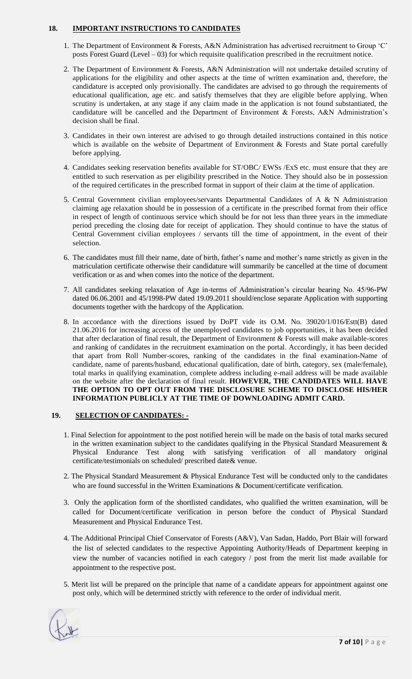## **18. IMPORTANT INSTRUCTIONS TO CANDIDATES**

- 1. The Department of Environment & Forests, A&N Administration has advertised recruitment to Group 'C' posts Forest Guard (Level – 03) for which requisite qualification prescribed in the recruitment notice.
- 2. The Department of Environment & Forests, A&N Administration will not undertake detailed scrutiny of applications for the eligibility and other aspects at the time of written examination and, therefore, the candidature is accepted only provisionally. The candidates are advised to go through the requirements of educational qualification, age etc. and satisfy themselves that they are eligible before applying. When scrutiny is undertaken, at any stage if any claim made in the application is not found substantiated, the candidature will be cancelled and the Department of Environment & Forests, A&N Administration's decision shall be final.
- 3. Candidates in their own interest are advised to go through detailed instructions contained in this notice which is available on the website of Department of Environment & Forests and State portal carefully before applying.
- 4. Candidates seeking reservation benefits available for ST/OBC/ EWSs /ExS etc. must ensure that they are entitled to such reservation as per eligibility prescribed in the Notice. They should also be in possession of the required certificates in the prescribed format in support of their claim at the time of application.
- 5. Central Government civilian employees/servants Departmental Candidates of A & N Administration claiming age relaxation should be in possession of a certificate in the prescribed format from their office in respect of length of continuous service which should be for not less than three years in the immediate period preceding the closing date for receipt of application. They should continue to have the status of Central Government civilian employees / servants till the time of appointment, in the event of their selection.
- 6. The candidates must fill their name, date of birth, father's name and mother's name strictly as given in the matriculation certificate otherwise their candidature will summarily be cancelled at the time of document verification or as and when comes into the notice of the department.
- 7. All candidates seeking relaxation of Age in-terms of Administration's circular bearing No. 45/96-PW dated 06.06.2001 and 45/1998-PW dated 19.09.2011 should/enclose separate Application with supporting documents together with the hardcopy of the Application.
- 8. In accordance with the directions issued by DoPT vide its O.M. No. 39020/1/016/Estt(B) dated 21.06.2016 for increasing access of the unemployed candidates to job opportunities, it has been decided that after declaration of final result, the Department of Environment & Forests will make available-scores and ranking of candidates in the recruitment examination on the portal. Accordingly, it has been decided that apart from Roll Number-scores, ranking of the candidates in the final examination-Name of candidate, name of parents/husband, educational qualification, date of birth, category, sex (male/female), total marks in qualifying examination, complete address including e-mail address will be made available on the website after the declaration of final result. **HOWEVER, THE CANDIDATES WILL HAVE THE OPTION TO OPT OUT FROM THE DISCLOSURE SCHEME TO DISCLOSE HIS/HER INFORMATION PUBLICLY AT THE TIME OF DOWNLOADING ADMIT CARD.**

## **19. SELECTION OF CANDIDATES: -**

- 1. Final Selection for appointment to the post notified herein will be made on the basis of total marks secured in the written examination subject to the candidates qualifying in the Physical Standard Measurement  $\&$ Physical Endurance Test along with satisfying verification of all mandatory original certificate/testimonials on scheduled/ prescribed date& venue.
- 2. The Physical Standard Measurement & Physical Endurance Test will be conducted only to the candidates who are found successful in the Written Examinations & Document/certificate verification.
- 3. Only the application form of the shortlisted candidates, who qualified the written examination, will be called for Document/certificate verification in person before the conduct of Physical Standard Measurement and Physical Endurance Test.
- 4. The Additional Principal Chief Conservator of Forests (A&V), Van Sadan, Haddo, Port Blair will forward the list of selected candidates to the respective Appointing Authority/Heads of Department keeping in view the number of vacancies notified in each category / post from the merit list made available for appointment to the respective post.
- 5. Merit list will be prepared on the principle that name of a candidate appears for appointment against one post only, which will be determined strictly with reference to the order of individual merit.

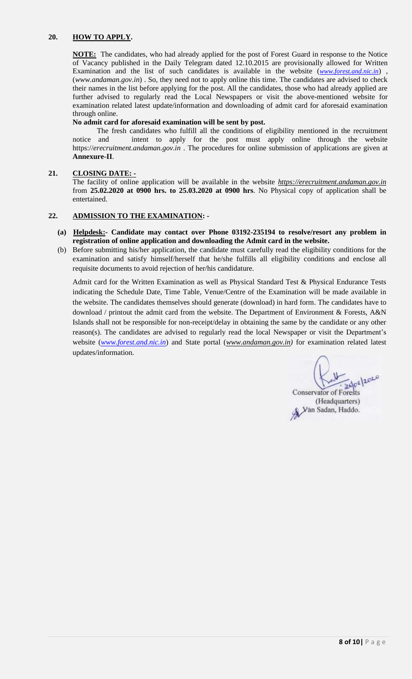## **20. HOW TO APPLY.**

**NOTE:** The candidates, who had already applied for the post of Forest Guard in response to the Notice of Vacancy published in the Daily Telegram dated 12.10.2015 are provisionally allowed for Written Examination and the list of such candidates is available in the website (*[www.forest.and.nic.in](http://www.forest.and.nic.in/)*) , (*www.andaman.gov.in*) . So, they need not to apply online this time. The candidates are advised to check their names in the list before applying for the post. All the candidates, those who had already applied are further advised to regularly read the Local Newspapers or visit the above-mentioned website for examination related latest update/information and downloading of admit card for aforesaid examination through online.

#### **No admit card for aforesaid examination will be sent by post.**

The fresh candidates who fulfill all the conditions of eligibility mentioned in the recruitment notice and intent to apply for the post must apply online through the website https://*erecruitment.andaman.gov.in* . The procedures for online submission of applications are given at **Annexure-II**.

### **21. CLOSING DATE: -**

The facility of online application will be available in the website *[https://erecruitment.andaman.gov.in](https://erecruitment.andaman.gov.in/)* from **25.02.2020 at 0900 hrs. to 25.03.2020 at 0900 hrs**. No Physical copy of application shall be entertained.

### **22. ADMISSION TO THE EXAMINATION: -**

- **(a) Helpdesk:- Candidate may contact over Phone 03192-235194 to resolve/resort any problem in registration of online application and downloading the Admit card in the website.**
- (b) Before submitting his/her application, the candidate must carefully read the eligibility conditions for the examination and satisfy himself/herself that he/she fulfills all eligibility conditions and enclose all requisite documents to avoid rejection of her/his candidature.

Admit card for the Written Examination as well as Physical Standard Test & Physical Endurance Tests indicating the Schedule Date, Time Table, Venue/Centre of the Examination will be made available in the website. The candidates themselves should generate (download) in hard form. The candidates have to download / printout the admit card from the website. The Department of Environment & Forests, A&N Islands shall not be responsible for non-receipt/delay in obtaining the same by the candidate or any other reason(s). The candidates are advised to regularly read the local Newspaper or visit the Department's website (*[www.forest.and.nic.in](http://www.forest.and.nic.in/)*) and State portal (*[www.andaman.gov.in\)](http://www.andaman.gov.in/)* for examination related latest updates/information.

 $202020$ **Conservator of Forests** 

(Headquarters) (Freadquarters)<br>Van Sadan, Haddo.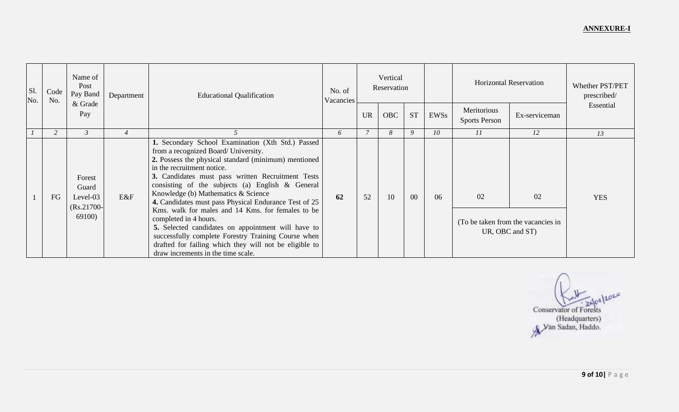| Sl.<br>No. | Code<br>No. | Name of<br>Post<br>Pay Band<br>& Grade                | Department     | <b>Educational Qualification</b>                                                                                                                                                                                                                                                                                                                                                                                                                                                                                                                                                                                                                                                    | No. of<br>Vacancies | Vertical<br>Reservation |            |             | <b>Horizontal Reservation</b> |                                     | Whether PST/PET<br>prescribed/<br>Essential                 |            |
|------------|-------------|-------------------------------------------------------|----------------|-------------------------------------------------------------------------------------------------------------------------------------------------------------------------------------------------------------------------------------------------------------------------------------------------------------------------------------------------------------------------------------------------------------------------------------------------------------------------------------------------------------------------------------------------------------------------------------------------------------------------------------------------------------------------------------|---------------------|-------------------------|------------|-------------|-------------------------------|-------------------------------------|-------------------------------------------------------------|------------|
|            |             | Pay                                                   |                |                                                                                                                                                                                                                                                                                                                                                                                                                                                                                                                                                                                                                                                                                     |                     | <b>UR</b>               | <b>OBC</b> | <b>ST</b>   | EWSs                          | Meritorious<br><b>Sports Person</b> | Ex-serviceman                                               |            |
|            |             | $\beta$                                               | $\overline{4}$ |                                                                                                                                                                                                                                                                                                                                                                                                                                                                                                                                                                                                                                                                                     | 6                   | $\overline{7}$          | 8          | $\mathbf Q$ | 10                            | 11                                  | 12                                                          | 13         |
|            | FG          | Forest<br>Guard<br>Level-03<br>$(Rs.21700-$<br>69100) | E&F            | 1. Secondary School Examination (Xth Std.) Passed<br>from a recognized Board/ University.<br>2. Possess the physical standard (minimum) mentioned<br>in the recruitment notice.<br>3. Candidates must pass written Recruitment Tests<br>consisting of the subjects (a) English & General<br>Knowledge (b) Mathematics & Science<br>4. Candidates must pass Physical Endurance Test of 25<br>Kms. walk for males and 14 Kms. for females to be<br>completed in 4 hours.<br>5. Selected candidates on appointment will have to<br>successfully complete Forestry Training Course when<br>drafted for failing which they will not be eligible to<br>draw increments in the time scale. | 62                  | 52                      | 10         | 00          | 06                            | 02                                  | 02<br>(To be taken from the vacancies in<br>UR, OBC and ST) | <b>YES</b> |

Conservator of Forests<br>(Headquarters)<br>A Van Sadan, Haddo.